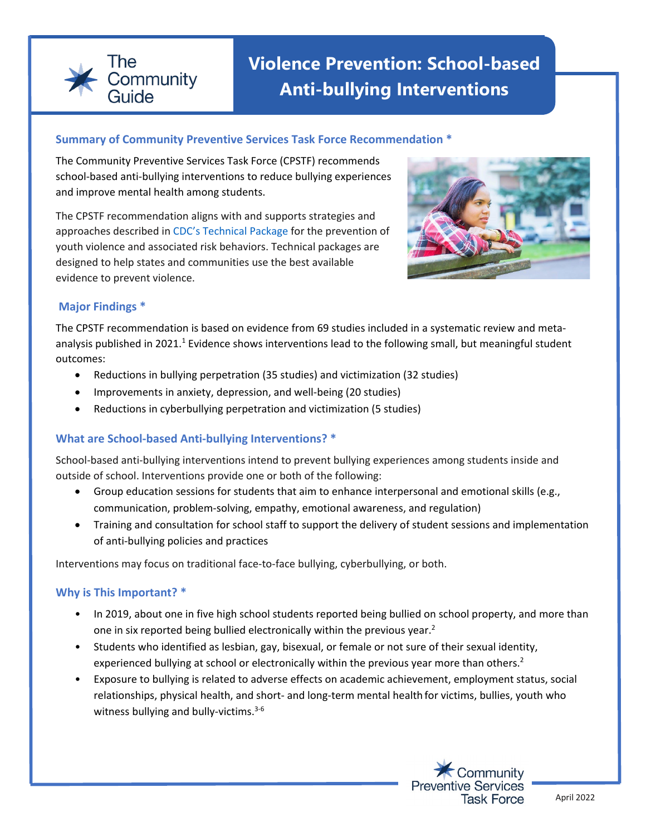

# **Violence Prevention: School-based Anti-bullying Interventions**

#### **Summary of Community Preventive Services Task Force Recommendation \***

The Community Preventive Services Task Force (CPSTF) recommends school-based anti-bullying interventions to reduce bullying experiences and improve mental health among students.

The CPSTF recommendation aligns with and supports strategies and approaches described in [CDC's Technical Package](https://www.cdc.gov/violenceprevention/pdf/yv-technicalpackage.pdf) for the prevention of youth violence and associated risk behaviors. Technical packages are designed to help states and communities use the best available evidence to prevent violence.



## **Major Findings \***

The CPSTF recommendation is based on evidence from 69 studies included in a systematic review and metaanalysis published in 2021.<sup>1</sup> Evidence shows interventions lead to the following small, but meaningful student outcomes:

- Reductions in bullying perpetration (35 studies) and victimization (32 studies)
- Improvements in anxiety, depression, and well-being (20 studies)
- Reductions in cyberbullying perpetration and victimization (5 studies)

## **What are School-based Anti-bullying Interventions? \***

School-based anti-bullying interventions intend to prevent bullying experiences among students inside and outside of school. Interventions provide one or both of the following:

- Group education sessions for students that aim to enhance interpersonal and emotional skills (e.g., communication, problem-solving, empathy, emotional awareness, and regulation)
- Training and consultation for school staff to support the delivery of student sessions and implementation of anti-bullying policies and practices

Interventions may focus on traditional face-to-face bullying, cyberbullying, or both.

## **Why is This Important? \***

- In 2019, about one in five high school students reported being bullied on school property, and more than one in six reported being bullied electronically within the previous year.<sup>2</sup>
- Students who identified as lesbian, gay, bisexual, or female or not sure of their sexual identity, experienced bullying at school or electronically within the previous year more than others.<sup>2</sup>
- Exposure to bullying is related to adverse effects on academic achievement, employment status, social relationships, physical health, and short- and long-term mental health for victims, bullies, youth who witness bullying and bully-victims. $3-6$